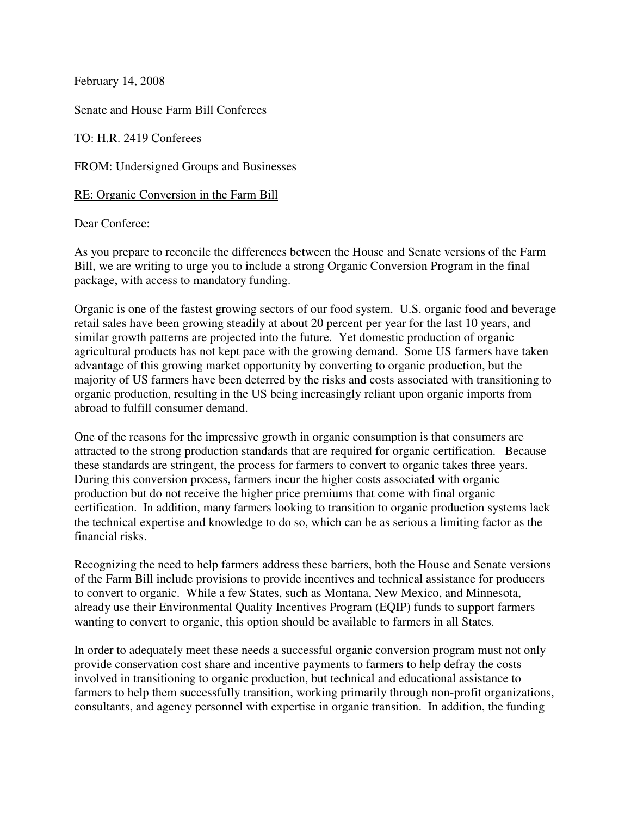February 14, 2008

Senate and House Farm Bill Conferees

TO: H.R. 2419 Conferees

FROM: Undersigned Groups and Businesses

RE: Organic Conversion in the Farm Bill

Dear Conferee:

As you prepare to reconcile the differences between the House and Senate versions of the Farm Bill, we are writing to urge you to include a strong Organic Conversion Program in the final package, with access to mandatory funding.

Organic is one of the fastest growing sectors of our food system. U.S. organic food and beverage retail sales have been growing steadily at about 20 percent per year for the last 10 years, and similar growth patterns are projected into the future. Yet domestic production of organic agricultural products has not kept pace with the growing demand. Some US farmers have taken advantage of this growing market opportunity by converting to organic production, but the majority of US farmers have been deterred by the risks and costs associated with transitioning to organic production, resulting in the US being increasingly reliant upon organic imports from abroad to fulfill consumer demand.

One of the reasons for the impressive growth in organic consumption is that consumers are attracted to the strong production standards that are required for organic certification. Because these standards are stringent, the process for farmers to convert to organic takes three years. During this conversion process, farmers incur the higher costs associated with organic production but do not receive the higher price premiums that come with final organic certification. In addition, many farmers looking to transition to organic production systems lack the technical expertise and knowledge to do so, which can be as serious a limiting factor as the financial risks.

Recognizing the need to help farmers address these barriers, both the House and Senate versions of the Farm Bill include provisions to provide incentives and technical assistance for producers to convert to organic. While a few States, such as Montana, New Mexico, and Minnesota, already use their Environmental Quality Incentives Program (EQIP) funds to support farmers wanting to convert to organic, this option should be available to farmers in all States.

In order to adequately meet these needs a successful organic conversion program must not only provide conservation cost share and incentive payments to farmers to help defray the costs involved in transitioning to organic production, but technical and educational assistance to farmers to help them successfully transition, working primarily through non-profit organizations, consultants, and agency personnel with expertise in organic transition. In addition, the funding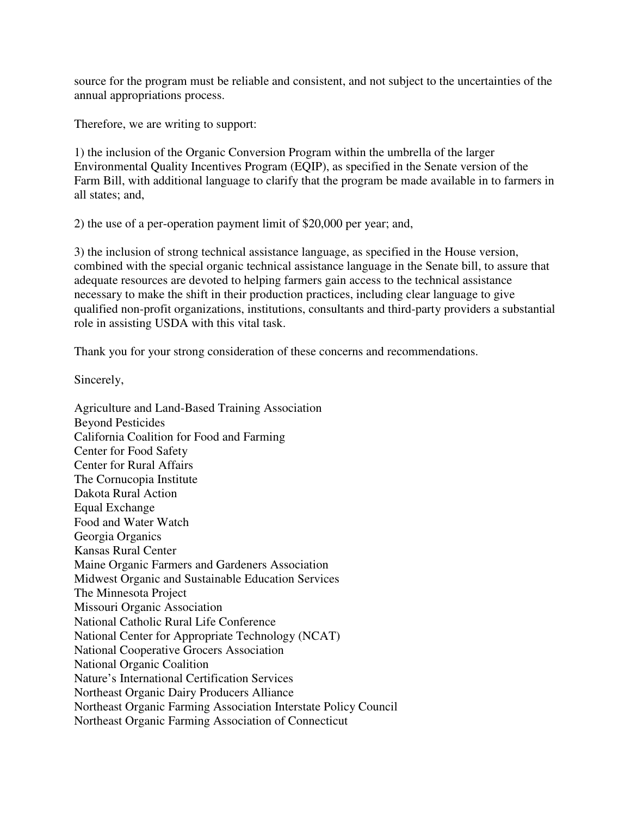source for the program must be reliable and consistent, and not subject to the uncertainties of the annual appropriations process.

Therefore, we are writing to support:

1) the inclusion of the Organic Conversion Program within the umbrella of the larger Environmental Quality Incentives Program (EQIP), as specified in the Senate version of the Farm Bill, with additional language to clarify that the program be made available in to farmers in all states; and,

2) the use of a per-operation payment limit of \$20,000 per year; and,

3) the inclusion of strong technical assistance language, as specified in the House version, combined with the special organic technical assistance language in the Senate bill, to assure that adequate resources are devoted to helping farmers gain access to the technical assistance necessary to make the shift in their production practices, including clear language to give qualified non-profit organizations, institutions, consultants and third-party providers a substantial role in assisting USDA with this vital task.

Thank you for your strong consideration of these concerns and recommendations.

Sincerely,

Agriculture and Land-Based Training Association Beyond Pesticides California Coalition for Food and Farming Center for Food Safety Center for Rural Affairs The Cornucopia Institute Dakota Rural Action Equal Exchange Food and Water Watch Georgia Organics Kansas Rural Center Maine Organic Farmers and Gardeners Association Midwest Organic and Sustainable Education Services The Minnesota Project Missouri Organic Association National Catholic Rural Life Conference National Center for Appropriate Technology (NCAT) National Cooperative Grocers Association National Organic Coalition Nature's International Certification Services Northeast Organic Dairy Producers Alliance Northeast Organic Farming Association Interstate Policy Council Northeast Organic Farming Association of Connecticut